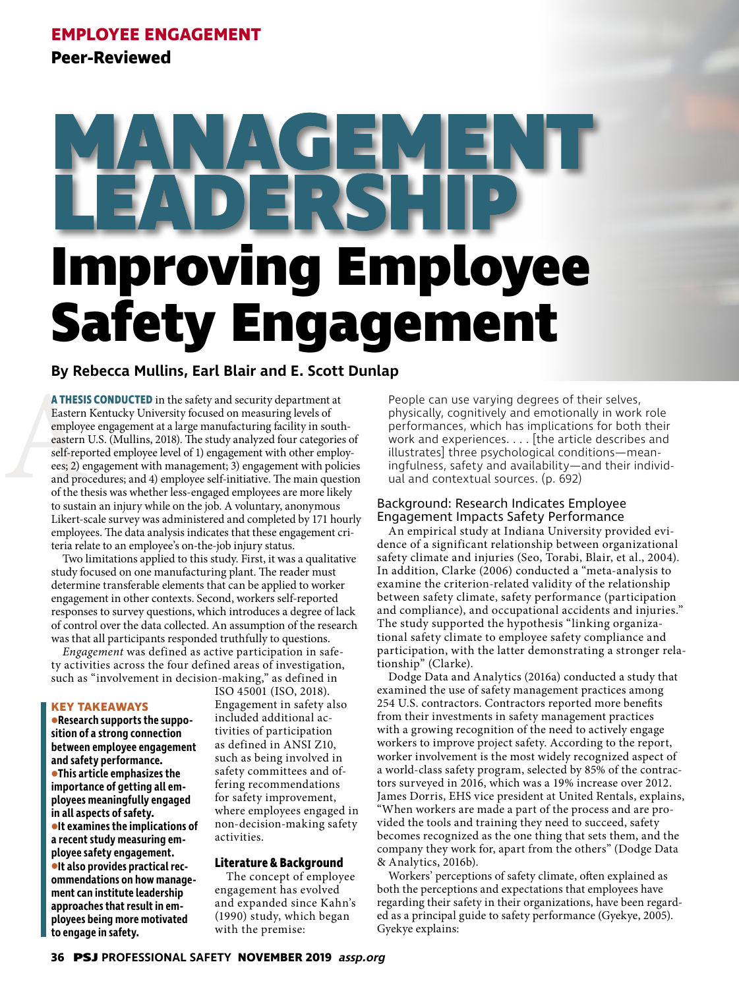# **EMPLOYEE ENGAGEMENT**

**Peer-Reviewed**

# **MGEM LEADERSHIP Improving Employee Safety Engagement**

# **By Rebecca Mullins, Earl Blair and E. Scott Dunlap**

A THESIS<br>
Eastern<br>
employe<br>
eastern l<br>
self-repc<br>
ees; 2) er<br>
and proof<br>
the th<br>
to sustail **A THESIS CONDUCTED** in the safety and security department at Eastern Kentucky University focused on measuring levels of employee engagement at a large manufacturing facility in southeastern U.S. (Mullins, 2018). The study analyzed four categories of self-reported employee level of 1) engagement with other employees; 2) engagement with management; 3) engagement with policies and procedures; and 4) employee self-initiative. The main question of the thesis was whether less-engaged employees are more likely to sustain an injury while on the job. A voluntary, anonymous Likert-scale survey was administered and completed by 171 hourly employees. The data analysis indicates that these engagement criteria relate to an employee's on-the-job injury status.

Two limitations applied to this study. First, it was a qualitative study focused on one manufacturing plant. The reader must determine transferable elements that can be applied to worker engagement in other contexts. Second, workers self-reported responses to survey questions, which introduces a degree of lack of control over the data collected. An assumption of the research was that all participants responded truthfully to questions.

*Engagement* was defined as active participation in safety activities across the four defined areas of investigation, such as "involvement in decision-making," as defined in

#### **KEY TAKEAWAYS**

**•Research supports the supposition of a strong connection between employee engagement and safety performance. •This article emphasizes the importance of getting all employees meaningfully engaged in all aspects of safety. •It examines the implications of a recent study measuring employee safety engagement. •It also provides practical recommendations on how management can institute leadership approaches that result in employees being more motivated to engage in safety.**

ISO 45001 (ISO, 2018). Engagement in safety also included additional activities of participation as defined in ANSI Z10, such as being involved in safety committees and offering recommendations for safety improvement, where employees engaged in non-decision-making safety activities.

#### **Literature & Background**

The concept of employee engagement has evolved and expanded since Kahn's (1990) study, which began with the premise:

People can use varying degrees of their selves, physically, cognitively and emotionally in work role performances, which has implications for both their work and experiences. . . . [the article describes and illustrates] three psychological conditions—meaningfulness, safety and availability—and their individual and contextual sources. (p. 692)

# Background: Research Indicates Employee Engagement Impacts Safety Performance

An empirical study at Indiana University provided evidence of a significant relationship between organizational safety climate and injuries (Seo, Torabi, Blair, et al., 2004). In addition, Clarke (2006) conducted a "meta-analysis to examine the criterion-related validity of the relationship between safety climate, safety performance (participation and compliance), and occupational accidents and injuries." The study supported the hypothesis "linking organizational safety climate to employee safety compliance and participation, with the latter demonstrating a stronger relationship" (Clarke).

Dodge Data and Analytics (2016a) conducted a study that examined the use of safety management practices among 254 U.S. contractors. Contractors reported more benefits from their investments in safety management practices with a growing recognition of the need to actively engage workers to improve project safety. According to the report, worker involvement is the most widely recognized aspect of a world-class safety program, selected by 85% of the contractors surveyed in 2016, which was a 19% increase over 2012. James Dorris, EHS vice president at United Rentals, explains, "When workers are made a part of the process and are provided the tools and training they need to succeed, safety becomes recognized as the one thing that sets them, and the company they work for, apart from the others" (Dodge Data & Analytics, 2016b).

Workers' perceptions of safety climate, often explained as both the perceptions and expectations that employees have regarding their safety in their organizations, have been regarded as a principal guide to safety performance (Gyekye, 2005). Gyekye explains: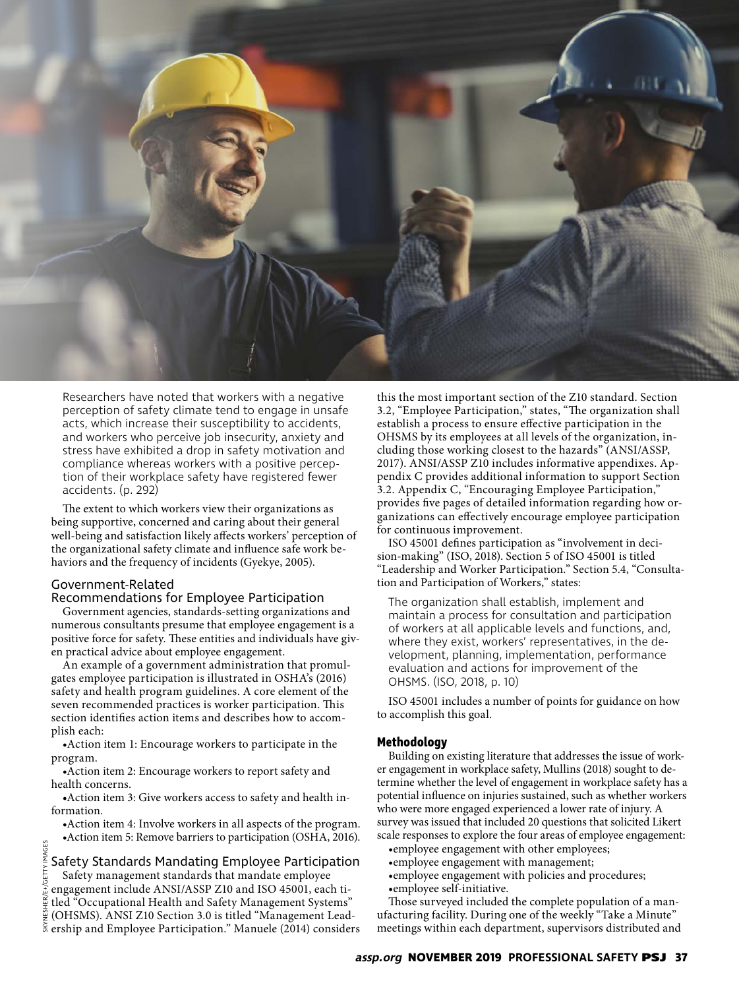

Researchers have noted that workers with a negative perception of safety climate tend to engage in unsafe acts, which increase their susceptibility to accidents, and workers who perceive job insecurity, anxiety and stress have exhibited a drop in safety motivation and compliance whereas workers with a positive perception of their workplace safety have registered fewer accidents. (p. 292)

The extent to which workers view their organizations as being supportive, concerned and caring about their general well-being and satisfaction likely affects workers' perception of the organizational safety climate and influence safe work behaviors and the frequency of incidents (Gyekye, 2005).

# Government-Related

SKYNESHER/E+/GETTY IMAGES

**JESHER/E** 

#### Recommendations for Employee Participation

Government agencies, standards-setting organizations and numerous consultants presume that employee engagement is a positive force for safety. These entities and individuals have given practical advice about employee engagement.

An example of a government administration that promulgates employee participation is illustrated in OSHA's (2016) safety and health program guidelines. A core element of the seven recommended practices is worker participation. This section identifies action items and describes how to accomplish each:

•Action item 1: Encourage workers to participate in the program.

•Action item 2: Encourage workers to report safety and health concerns.

•Action item 3: Give workers access to safety and health information.

•Action item 4: Involve workers in all aspects of the program. •Action item 5: Remove barriers to participation (OSHA, 2016).

 $\frac{3}{2}$  Safety Standards Mandating Employee Participation Safety management standards that mandate employee engagement include ANSI/ASSP Z10 and ISO 45001, each titled "Occupational Health and Safety Management Systems" (OHSMS). ANSI Z10 Section 3.0 is titled "Management Lead- $\frac{2}{3}$  ership and Employee Participation." Manuele (2014) considers

this the most important section of the Z10 standard. Section 3.2, "Employee Participation," states, "The organization shall establish a process to ensure effective participation in the OHSMS by its employees at all levels of the organization, including those working closest to the hazards" (ANSI/ASSP, 2017). ANSI/ASSP Z10 includes informative appendixes. Appendix C provides additional information to support Section 3.2. Appendix C, "Encouraging Employee Participation," provides five pages of detailed information regarding how organizations can effectively encourage employee participation for continuous improvement.

ISO 45001 defines participation as "involvement in decision-making" (ISO, 2018). Section 5 of ISO 45001 is titled "Leadership and Worker Participation." Section 5.4, "Consultation and Participation of Workers," states:

The organization shall establish, implement and maintain a process for consultation and participation of workers at all applicable levels and functions, and, where they exist, workers' representatives, in the development, planning, implementation, performance evaluation and actions for improvement of the OHSMS. (ISO, 2018, p. 10)

ISO 45001 includes a number of points for guidance on how to accomplish this goal.

## **Methodology**

Building on existing literature that addresses the issue of worker engagement in workplace safety, Mullins (2018) sought to determine whether the level of engagement in workplace safety has a potential influence on injuries sustained, such as whether workers who were more engaged experienced a lower rate of injury. A survey was issued that included 20 questions that solicited Likert scale responses to explore the four areas of employee engagement:

•employee engagement with other employees;

- •employee engagement with management;
- •employee engagement with policies and procedures; •employee self-initiative.

Those surveyed included the complete population of a manufacturing facility. During one of the weekly "Take a Minute" meetings within each department, supervisors distributed and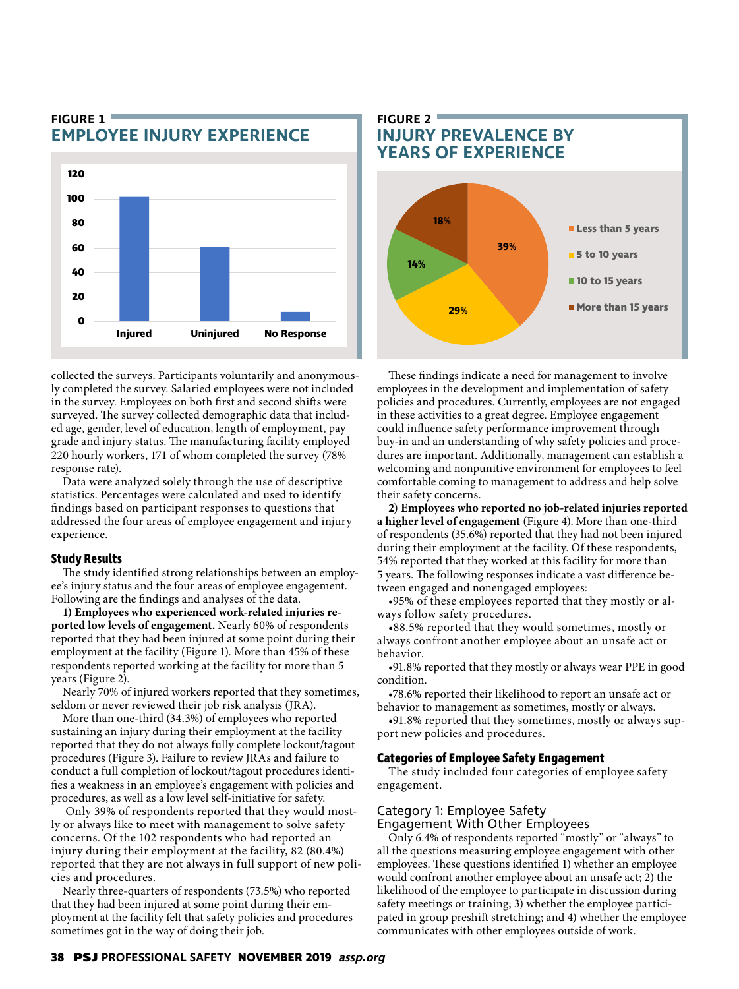# **FIGURE 1 EMPLOYEE INJURY EXPERIENCE**



collected the surveys. Participants voluntarily and anonymously completed the survey. Salaried employees were not included in the survey. Employees on both first and second shifts were surveyed. The survey collected demographic data that included age, gender, level of education, length of employment, pay grade and injury status. The manufacturing facility employed 220 hourly workers, 171 of whom completed the survey (78% response rate).

Data were analyzed solely through the use of descriptive statistics. Percentages were calculated and used to identify findings based on participant responses to questions that addressed the four areas of employee engagement and injury experience.

## **Study Results**

The study identified strong relationships between an employee's injury status and the four areas of employee engagement. Following are the findings and analyses of the data.

**1) Employees who experienced work-related injuries reported low levels of engagement.** Nearly 60% of respondents reported that they had been injured at some point during their employment at the facility (Figure 1). More than 45% of these respondents reported working at the facility for more than 5 years (Figure 2).

Nearly 70% of injured workers reported that they sometimes, seldom or never reviewed their job risk analysis (JRA).

More than one-third (34.3%) of employees who reported sustaining an injury during their employment at the facility reported that they do not always fully complete lockout/tagout procedures (Figure 3). Failure to review JRAs and failure to conduct a full completion of lockout/tagout procedures identifies a weakness in an employee's engagement with policies and procedures, as well as a low level self-initiative for safety.

 Only 39% of respondents reported that they would mostly or always like to meet with management to solve safety concerns. Of the 102 respondents who had reported an injury during their employment at the facility, 82 (80.4%) reported that they are not always in full support of new policies and procedures.

Nearly three-quarters of respondents (73.5%) who reported that they had been injured at some point during their employment at the facility felt that safety policies and procedures sometimes got in the way of doing their job.



These findings indicate a need for management to involve employees in the development and implementation of safety policies and procedures. Currently, employees are not engaged in these activities to a great degree. Employee engagement could influence safety performance improvement through buy-in and an understanding of why safety policies and procedures are important. Additionally, management can establish a welcoming and nonpunitive environment for employees to feel comfortable coming to management to address and help solve their safety concerns.

**2) Employees who reported no job-related injuries reported a higher level of engagement** (Figure 4). More than one-third of respondents (35.6%) reported that they had not been injured during their employment at the facility. Of these respondents, 54% reported that they worked at this facility for more than 5 years. The following responses indicate a vast difference between engaged and nonengaged employees:

•95% of these employees reported that they mostly or always follow safety procedures.

•88.5% reported that they would sometimes, mostly or always confront another employee about an unsafe act or behavior.

•91.8% reported that they mostly or always wear PPE in good condition.

•78.6% reported their likelihood to report an unsafe act or behavior to management as sometimes, mostly or always.

•91.8% reported that they sometimes, mostly or always support new policies and procedures.

## **Categories of Employee Safety Engagement**

The study included four categories of employee safety engagement.

#### Category 1: Employee Safety

Engagement With Other Employees

Only 6.4% of respondents reported "mostly" or "always" to all the questions measuring employee engagement with other employees. These questions identified 1) whether an employee would confront another employee about an unsafe act; 2) the likelihood of the employee to participate in discussion during safety meetings or training; 3) whether the employee participated in group preshift stretching; and 4) whether the employee communicates with other employees outside of work.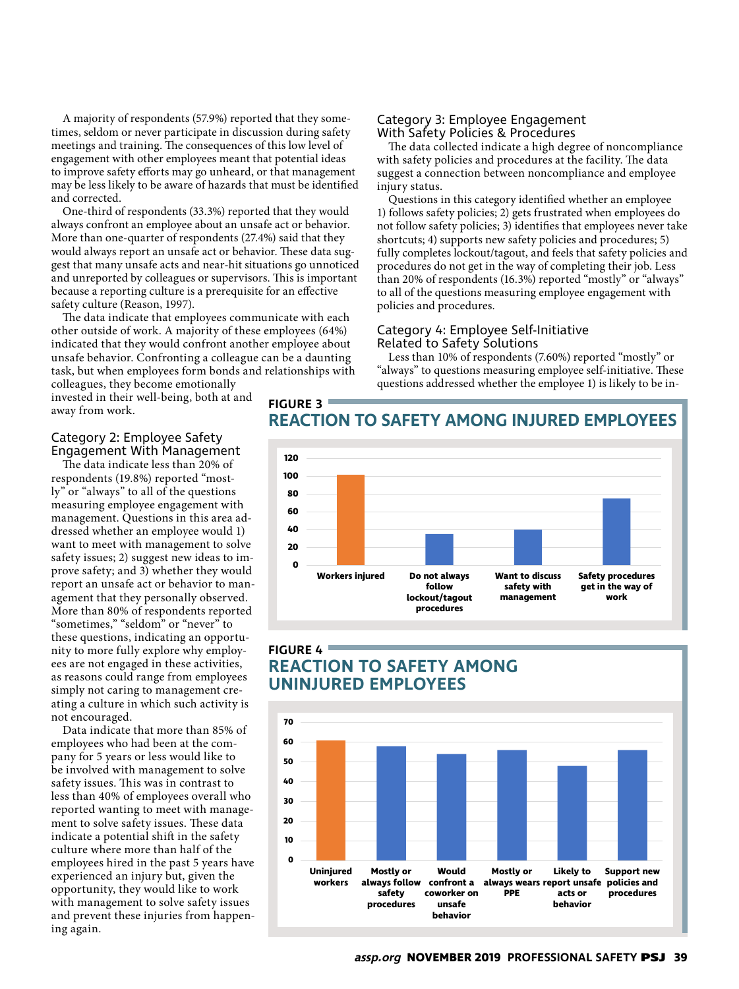A majority of respondents (57.9%) reported that they sometimes, seldom or never participate in discussion during safety meetings and training. The consequences of this low level of engagement with other employees meant that potential ideas to improve safety efforts may go unheard, or that management may be less likely to be aware of hazards that must be identified and corrected.

One-third of respondents (33.3%) reported that they would always confront an employee about an unsafe act or behavior. More than one-quarter of respondents (27.4%) said that they would always report an unsafe act or behavior. These data suggest that many unsafe acts and near-hit situations go unnoticed and unreported by colleagues or supervisors. This is important because a reporting culture is a prerequisite for an effective safety culture (Reason, 1997).

The data indicate that employees communicate with each other outside of work. A majority of these employees (64%) indicated that they would confront another employee about unsafe behavior. Confronting a colleague can be a daunting task, but when employees form bonds and relationships with

colleagues, they become emotionally invested in their well-being, both at and away from work.

Category 3: Employee Engagement With Safety Policies & Procedures

The data collected indicate a high degree of noncompliance with safety policies and procedures at the facility. The data suggest a connection between noncompliance and employee injury status.

Questions in this category identified whether an employee 1) follows safety policies; 2) gets frustrated when employees do not follow safety policies; 3) identifies that employees never take shortcuts; 4) supports new safety policies and procedures; 5) fully completes lockout/tagout, and feels that safety policies and procedures do not get in the way of completing their job. Less than 20% of respondents (16.3%) reported "mostly" or "always" to all of the questions measuring employee engagement with policies and procedures.

# Category 4: Employee Self-Initiative Related to Safety Solutions

Less than 10% of respondents (7.60%) reported "mostly" or "always" to questions measuring employee self-initiative. These questions addressed whether the employee 1) is likely to be in-

# Category 2: Employee Safety Engagement With Management

The data indicate less than 20% of respondents (19.8%) reported "mostly" or "always" to all of the questions measuring employee engagement with management. Questions in this area addressed whether an employee would 1) want to meet with management to solve safety issues; 2) suggest new ideas to improve safety; and 3) whether they would report an unsafe act or behavior to management that they personally observed. More than 80% of respondents reported "sometimes," "seldom" or "never" to these questions, indicating an opportunity to more fully explore why employees are not engaged in these activities, as reasons could range from employees simply not caring to management creating a culture in which such activity is not encouraged.

Data indicate that more than 85% of employees who had been at the company for 5 years or less would like to be involved with management to solve safety issues. This was in contrast to less than 40% of employees overall who reported wanting to meet with management to solve safety issues. These data indicate a potential shift in the safety culture where more than half of the employees hired in the past 5 years have experienced an injury but, given the opportunity, they would like to work with management to solve safety issues and prevent these injuries from happening again.

# **FIGURE 3 REACTION TO SAFETY AMONG INJURED EMPLOYEES**



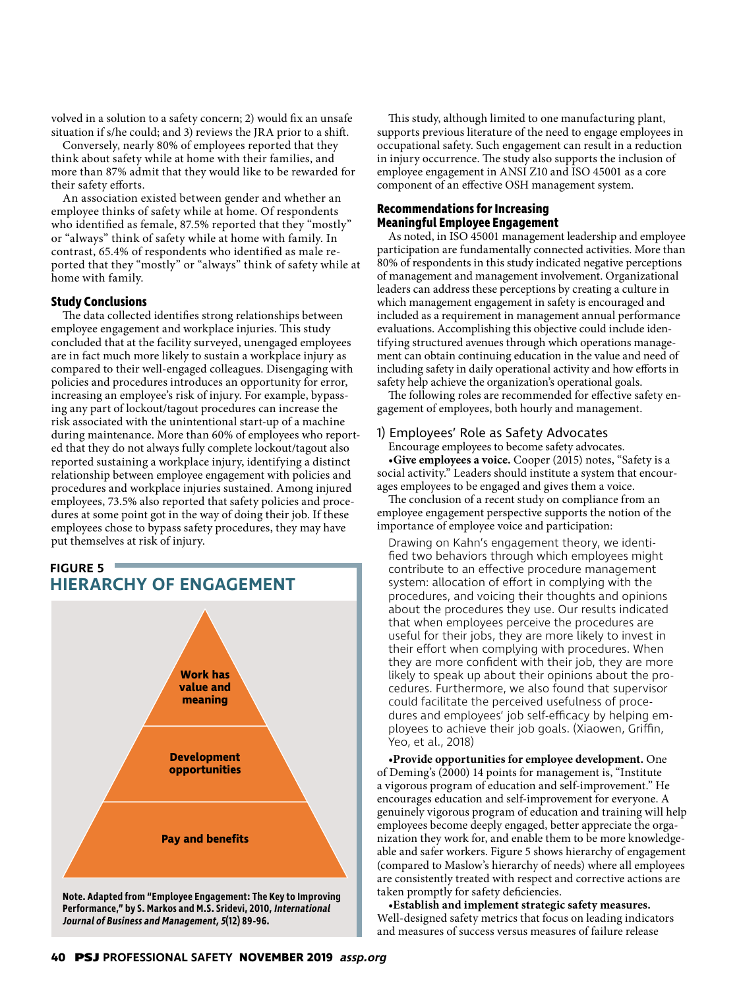volved in a solution to a safety concern; 2) would fix an unsafe situation if s/he could; and 3) reviews the JRA prior to a shift.

Conversely, nearly 80% of employees reported that they think about safety while at home with their families, and more than 87% admit that they would like to be rewarded for their safety efforts.

An association existed between gender and whether an employee thinks of safety while at home. Of respondents who identified as female, 87.5% reported that they "mostly" or "always" think of safety while at home with family. In contrast, 65.4% of respondents who identified as male reported that they "mostly" or "always" think of safety while at home with family.

#### **Study Conclusions**

The data collected identifies strong relationships between employee engagement and workplace injuries. This study concluded that at the facility surveyed, unengaged employees are in fact much more likely to sustain a workplace injury as compared to their well-engaged colleagues. Disengaging with policies and procedures introduces an opportunity for error, increasing an employee's risk of injury. For example, bypassing any part of lockout/tagout procedures can increase the risk associated with the unintentional start-up of a machine during maintenance. More than 60% of employees who reported that they do not always fully complete lockout/tagout also reported sustaining a workplace injury, identifying a distinct relationship between employee engagement with policies and procedures and workplace injuries sustained. Among injured employees, 73.5% also reported that safety policies and procedures at some point got in the way of doing their job. If these employees chose to bypass safety procedures, they may have put themselves at risk of injury.

# **FIGURE 5**



**Performance," by S. Markos and M.S. Sridevi, 2010, International Journal of Business and Management, 5(12) 89-96.**

This study, although limited to one manufacturing plant, supports previous literature of the need to engage employees in occupational safety. Such engagement can result in a reduction in injury occurrence. The study also supports the inclusion of employee engagement in ANSI Z10 and ISO 45001 as a core component of an effective OSH management system.

# **Recommendations for Increasing Meaningful Employee Engagement**

As noted, in ISO 45001 management leadership and employee participation are fundamentally connected activities. More than 80% of respondents in this study indicated negative perceptions of management and management involvement. Organizational leaders can address these perceptions by creating a culture in which management engagement in safety is encouraged and included as a requirement in management annual performance evaluations. Accomplishing this objective could include identifying structured avenues through which operations management can obtain continuing education in the value and need of including safety in daily operational activity and how efforts in safety help achieve the organization's operational goals.

The following roles are recommended for effective safety engagement of employees, both hourly and management.

# 1) Employees' Role as Safety Advocates

Encourage employees to become safety advocates.

**•Give employees a voice.** Cooper (2015) notes, "Safety is a social activity." Leaders should institute a system that encourages employees to be engaged and gives them a voice.

The conclusion of a recent study on compliance from an employee engagement perspective supports the notion of the importance of employee voice and participation:

Drawing on Kahn's engagement theory, we identified two behaviors through which employees might contribute to an effective procedure management system: allocation of effort in complying with the procedures, and voicing their thoughts and opinions about the procedures they use. Our results indicated that when employees perceive the procedures are useful for their jobs, they are more likely to invest in their effort when complying with procedures. When they are more confident with their job, they are more likely to speak up about their opinions about the procedures. Furthermore, we also found that supervisor could facilitate the perceived usefulness of procedures and employees' job self-efficacy by helping employees to achieve their job goals. (Xiaowen, Griffin, Yeo, et al., 2018)

**•Provide opportunities for employee development.** One of Deming's (2000) 14 points for management is, "Institute a vigorous program of education and self-improvement." He encourages education and self-improvement for everyone. A genuinely vigorous program of education and training will help employees become deeply engaged, better appreciate the organization they work for, and enable them to be more knowledgeable and safer workers. Figure 5 shows hierarchy of engagement (compared to Maslow's hierarchy of needs) where all employees are consistently treated with respect and corrective actions are taken promptly for safety deficiencies.

**•Establish and implement strategic safety measures.** Well-designed safety metrics that focus on leading indicators and measures of success versus measures of failure release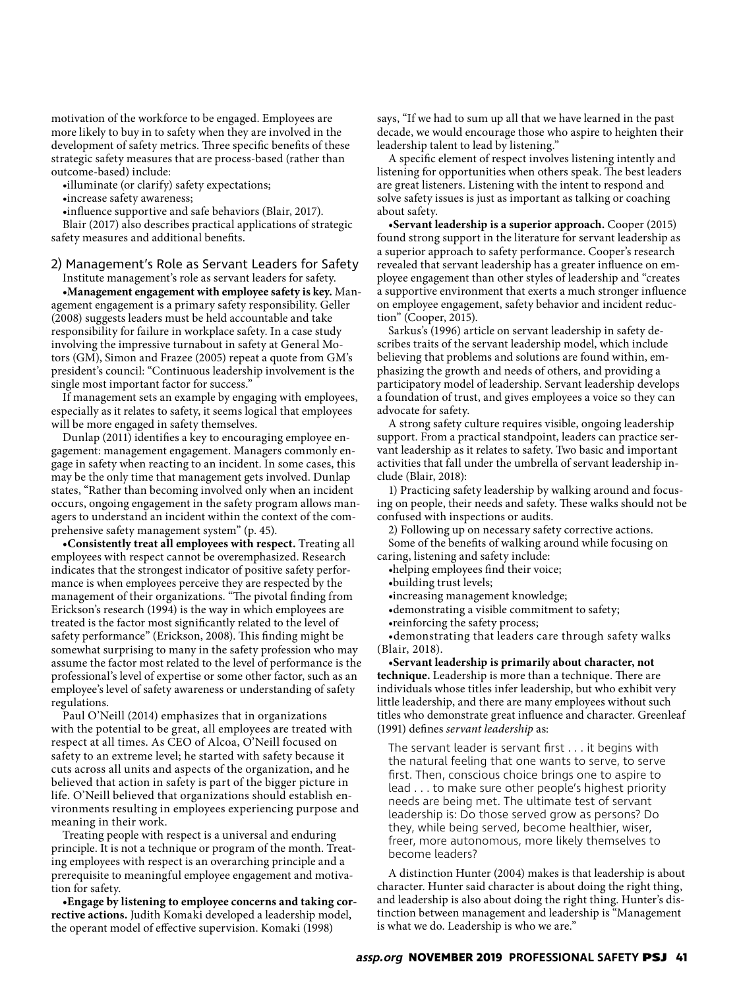motivation of the workforce to be engaged. Employees are more likely to buy in to safety when they are involved in the development of safety metrics. Three specific benefits of these strategic safety measures that are process-based (rather than outcome-based) include:

•illuminate (or clarify) safety expectations;

•increase safety awareness;

•influence supportive and safe behaviors (Blair, 2017).

Blair (2017) also describes practical applications of strategic safety measures and additional benefits.

#### 2) Management's Role as Servant Leaders for Safety Institute management's role as servant leaders for safety.

**•Management engagement with employee safety is key.** Management engagement is a primary safety responsibility. Geller (2008) suggests leaders must be held accountable and take responsibility for failure in workplace safety. In a case study involving the impressive turnabout in safety at General Motors (GM), Simon and Frazee (2005) repeat a quote from GM's president's council: "Continuous leadership involvement is the single most important factor for success."

If management sets an example by engaging with employees, especially as it relates to safety, it seems logical that employees will be more engaged in safety themselves.

Dunlap (2011) identifies a key to encouraging employee engagement: management engagement. Managers commonly engage in safety when reacting to an incident. In some cases, this may be the only time that management gets involved. Dunlap states, "Rather than becoming involved only when an incident occurs, ongoing engagement in the safety program allows managers to understand an incident within the context of the comprehensive safety management system" (p. 45).

**•Consistently treat all employees with respect.** Treating all employees with respect cannot be overemphasized. Research indicates that the strongest indicator of positive safety performance is when employees perceive they are respected by the management of their organizations. "The pivotal finding from Erickson's research (1994) is the way in which employees are treated is the factor most significantly related to the level of safety performance" (Erickson, 2008). This finding might be somewhat surprising to many in the safety profession who may assume the factor most related to the level of performance is the professional's level of expertise or some other factor, such as an employee's level of safety awareness or understanding of safety regulations.

Paul O'Neill (2014) emphasizes that in organizations with the potential to be great, all employees are treated with respect at all times. As CEO of Alcoa, O'Neill focused on safety to an extreme level; he started with safety because it cuts across all units and aspects of the organization, and he believed that action in safety is part of the bigger picture in life. O'Neill believed that organizations should establish environments resulting in employees experiencing purpose and meaning in their work.

Treating people with respect is a universal and enduring principle. It is not a technique or program of the month. Treating employees with respect is an overarching principle and a prerequisite to meaningful employee engagement and motivation for safety.

**•Engage by listening to employee concerns and taking corrective actions.** Judith Komaki developed a leadership model, the operant model of effective supervision. Komaki (1998)

says, "If we had to sum up all that we have learned in the past decade, we would encourage those who aspire to heighten their leadership talent to lead by listening."

A specific element of respect involves listening intently and listening for opportunities when others speak. The best leaders are great listeners. Listening with the intent to respond and solve safety issues is just as important as talking or coaching about safety.

**•Servant leadership is a superior approach.** Cooper (2015) found strong support in the literature for servant leadership as a superior approach to safety performance. Cooper's research revealed that servant leadership has a greater influence on employee engagement than other styles of leadership and "creates a supportive environment that exerts a much stronger influence on employee engagement, safety behavior and incident reduction" (Cooper, 2015).

Sarkus's (1996) article on servant leadership in safety describes traits of the servant leadership model, which include believing that problems and solutions are found within, emphasizing the growth and needs of others, and providing a participatory model of leadership. Servant leadership develops a foundation of trust, and gives employees a voice so they can advocate for safety.

A strong safety culture requires visible, ongoing leadership support. From a practical standpoint, leaders can practice servant leadership as it relates to safety. Two basic and important activities that fall under the umbrella of servant leadership include (Blair, 2018):

1) Practicing safety leadership by walking around and focusing on people, their needs and safety. These walks should not be confused with inspections or audits.

2) Following up on necessary safety corrective actions.

Some of the benefits of walking around while focusing on caring, listening and safety include:

•helping employees find their voice;

- •building trust levels;
- •increasing management knowledge;
- •demonstrating a visible commitment to safety;
- •reinforcing the safety process;

•demonstrating that leaders care through safety walks (Blair, 2018).

**•Servant leadership is primarily about character, not technique.** Leadership is more than a technique. There are individuals whose titles infer leadership, but who exhibit very little leadership, and there are many employees without such titles who demonstrate great influence and character. Greenleaf (1991) defines *servant leadership* as:

The servant leader is servant first . . . it begins with the natural feeling that one wants to serve, to serve first. Then, conscious choice brings one to aspire to lead . . . to make sure other people's highest priority needs are being met. The ultimate test of servant leadership is: Do those served grow as persons? Do they, while being served, become healthier, wiser, freer, more autonomous, more likely themselves to become leaders?

A distinction Hunter (2004) makes is that leadership is about character. Hunter said character is about doing the right thing, and leadership is also about doing the right thing. Hunter's distinction between management and leadership is "Management is what we do. Leadership is who we are."